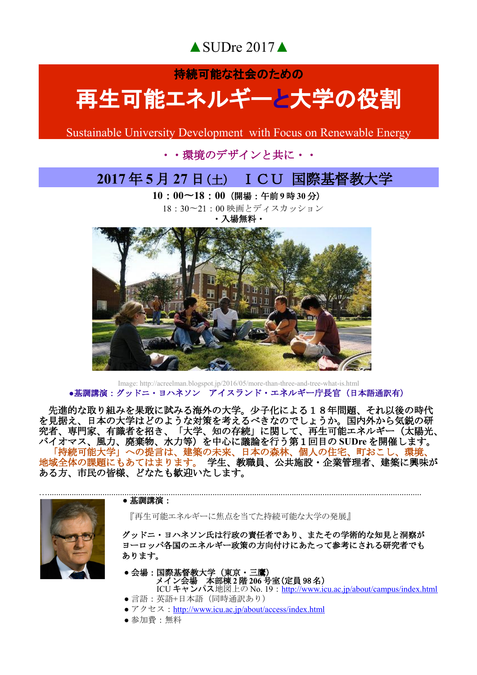▲SUDre 2017▲

## 持続可能な社会のための 再生可能エネルギーと大学の役割

Sustainable University Development with Focus on Renewable Energy

### ・・環境のデザインと共に・・

## **2017** 年 **5** 月 **27** 日(土) ICU 国際基督教大学

**10**:**00**〜**18**:**00**(開場:午前 **9** 時 **30** 分) 18:30〜21:00 映画とディスカッション

・入場無料・



#### Image: http://acreelman.blogspot.jp/2016/05/more-than-three-and-tree-what-is.html **●基調講演:グッドニ・ヨハネソン アイスランド・エネルギー庁長官(日本語通訳有)**

 先進的な取り組みを果敢に試みる海外の大学。少子化による18年問題、それ以後の時代 を見据え、日本の大学はどのような対策を考えるべきなのでしょうか。国内外から気鋭の研 究者、専門家、有識者を招き、「大学、知の存続」に関して、再生可能エネルギー(太陽光、 バイオマス、風力、廃棄物、水力等)を中心に議論を行う第1回目の **SUDre** を開催します。 「持続可能大学」への提言は、建築の未来、日本の森林、個人の住宅、町おこし、環境、 地域全体の課題にもあてはまります。 学生、教職員、公共施設・企業管理者、建築に興味が ある方、市民の皆様、どなたも歓迎いたします。



#### **●** 基調講演:

 『再生可能エネルギーに焦点を当てた持続可能な大学の発展』 and the contract of the contract of the contract of the contract of the contract of the contract of the contract of the contract of the contract of the contract of the contract of the contract of the contract of the contra

 グッドニ・ヨハネソン氏は行政の責任者であり、またその学術的な知見と洞察が ヨーロッパ各国のエネルギー政策の方向付けにあたって参考にされる研究者でも あります。

#### ● 会場:国際基督教大学(東京・三鷹) **イン会場 本部棟 2 階 206 号室(定員 98 名)**

- ICU キャンパス地図上の No. 19 : <u>http://www.icu.ac.jp/about/campus/index.html</u> ● 言語: 英語+日本語 (同時通訳あり)
	- アクセス: <http://www.icu.ac.jp/about/access/index.html>
	- 参加費:無料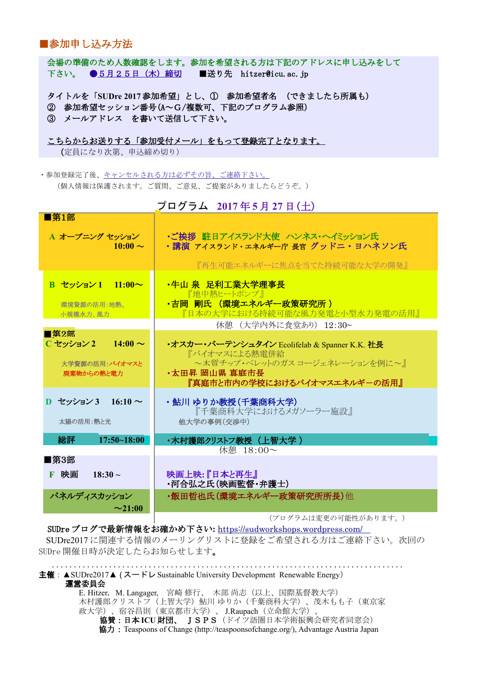#### ■参加申し込み方法

 会場の準備のため人数確認をします。参加を希望される方は下記のアドレスに申し込みをして 下さい。 ● 5月25日 (木) 締切 ■送り先 hitzer@icu.ac.jp

 タイトルを「**SUDre 2017** 参加希望」とし、① 参加希望者名 (できましたら所属も) ② 参加希望セッション番号(A~G/複数可、下記のプログラム参照) ③ メールアドレス を書いて送信して下さい。

こちらからお送りする「参加受付メール」をもって登録完了となります。 (定員になり次第、申込締め切り)

·参加登録完了後、<u>キャンセルされる方は必ずその旨、ご連</u>絡下さい。 (個人情報は保護されます。ご質問、ご意見、ご提案がありましたらどうぞ。)

| プログラム 2017年5月 27日(土)           |                                                                   |
|--------------------------------|-------------------------------------------------------------------|
| ■第1部                           |                                                                   |
| A オープニング セッション<br>$10:00 \sim$ | ・ご挨拶 駐日アイスランド大使 ハンネス・ヘイミッション氏<br>・講演 アイスランド・エネルギー庁 長官 グッドニ・ヨハネソン氏 |
|                                | 『再生可能エネルギーに焦点を当てた持続可能な大学の開発』                                      |
| B セッション 1 11:00~               | ・牛山 泉 足利工業大学理事長<br>『地中熱ヒートポンプ』                                    |
| 環境資源の活用:地熱、<br>小規模水力、風力        | ・吉岡 剛氏 (環境エネルギー政策研究所 )<br>『日本の大学における持続可能な風力発電と小型水力発電の活用』          |
|                                | 休憩 (大学内外に食堂あり) 12:30~                                             |
| ■第2部                           |                                                                   |
| C セッション 2<br>$14:00 \sim$      | •オスカー・バーテンシュタイン Ecolifelab & Spanner K.K. 社長<br>『バイオマスによる熱雷併給     |
| 大学資源の活用:バイオマスと                 | ~木質チップ・ペレットのガス コージェネレーションを例に~』                                    |
| 廃棄物からの熱と電力                     | •太田昇 岡山県 直庭市長                                                     |
|                                | 『真庭市と市内の学校におけるバイオマスエネルギーの活用』                                      |
| D セッション 3 16:10 $\sim$         | ・鮎川 ゆりか教授(千葉商科大学)                                                 |
|                                | 『千葉商科大学におけるメガソーラー施設』                                              |
| 太陽の活用:熱と光                      | 他大学の事例(交渉中)                                                       |
| 総評<br>$17:50 - 18:00$          | ・木村護郎クリストフ教授(上智大学 )                                               |
|                                | 休憩 18:00~                                                         |
| ■第3部                           |                                                                   |
| F 映画<br>$18:30 \sim$           | 映画上映:『日本と再生』                                                      |
|                                | ・河合弘之氏(映画監督・弁護士)                                                  |
| パネルディスカッション                    | ・飯田哲也氏(環境エネルギー政策研究所所長)他                                           |
| $\sim$ 21:00                   |                                                                   |

 (プログラムは変更の可能性があります。)

SUDre ブログで最新情報をお確かめ下さい**:** <https://sudworkshops.wordpress.com/> SUDre2017 に関連する情報のメーリングリストに登録をご希望される方はご連絡下さい。次回の SUDre 開催日時が決定したらお知らせします。

 ................................................................................ 主催:  $\triangle$ SUDre2017 $\triangle$  (スードレ Sustainable University Development Renewable Energy) 運営委員会 E. Hitzer, M. Langager, 宮崎 修行、 木部 尚志(以上、国際基督教大学) 木村護郎クリストフ(上智大学)鮎川 ゆりか(千葉商科大学)、茂木もも子(東京家 政大学)、宿谷昌則(東京都市大学)、 J.Raupach(立命館大学)、 協賛:日本 **ICU** 財団、 JSPS(ドイツ語圏日本学術振興会研究者同窓会) 協力 : Teaspoons of Change (http://teaspoonsofchange.org/), Advantage Austria Japan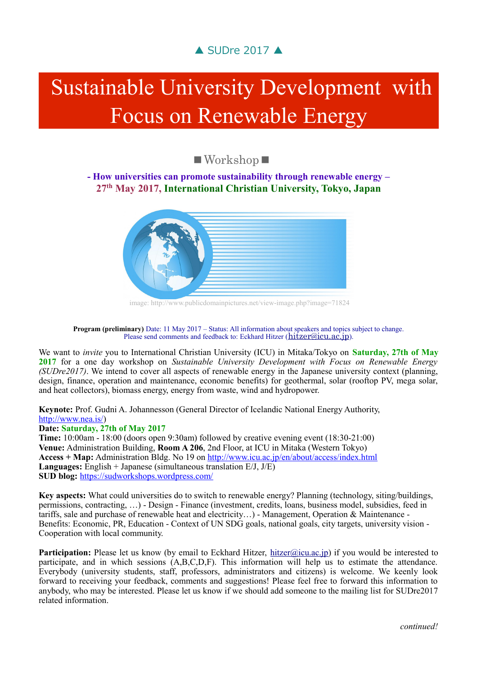## ▲ SUDre 2017 ▲

# Sustainable University Development with Focus on Renewable Energy

■Workshop■

**- How universities can promote sustainability through renewable energy – 27th May 2017, International Christian University, Tokyo, Japan**



image: http://www.publicdomainpictures.net/view-image.php?image=71824

## **Program (preliminary)** Date: 11 May 2017 – Status: All information about speakers and topics subject to change.<br>Please send comments and feedback to: Eckhard Hitzer ([hitzer@icu.ac.jp](mailto:hitzer@icu.ac.jp)).

We want to *invite* you to International Christian University (ICU) in Mitaka/Tokyo on **Saturday, 27th of May 2017** for a one day workshop on *Sustainable University Development with Focus on Renewable Energy (SUDre2017)*. We intend to cover all aspects of renewable energy in the Japanese university context (planning, design, finance, operation and maintenance, economic benefits) for geothermal, solar (rooftop PV, mega solar, and heat collectors), biomass energy, energy from waste, wind and hydropower.

**Keynote:** Prof. Gudni A. Johannesson (General Director of Icelandic National Energy Authority, [http://www.nea.is/\)](http://www.nea.is/)

#### **Date: Saturday, 27th of May 2017**

**Time:** 10:00am - 18:00 (doors open 9:30am) followed by creative evening event (18:30-21:00) **Venue:** Administration Building, **Room A 206**, 2nd Floor, at ICU in Mitaka (Western Tokyo) **Access + Map:** Administration Bldg. No 19 on <http://www.icu.ac.jp/en/about/access/index.html> **Languages:** English + Japanese (simultaneous translation E/J, J/E) **SUD blog:** <https://sudworkshops.wordpress.com/>

**Key aspects:** What could universities do to switch to renewable energy? Planning (technology, siting/buildings, permissions, contracting, …) - Design - Finance (investment, credits, loans, business model, subsidies, feed in tariffs, sale and purchase of renewable heat and electricity…) - Management, Operation & Maintenance - Benefits: Economic, PR, Education - Context of UN SDG goals, national goals, city targets, university vision - Cooperation with local community.

**Participation:** Please let us know (by email to Eckhard Hitzer, [hitzer@icu.ac.jp\)](mailto:hitzer@icu.ac.jp) if you would be interested to participate, and in which sessions (A,B,C,D,F). This information will help us to estimate the attendance. Everybody (university students, staff, professors, administrators and citizens) is welcome. We keenly look forward to receiving your feedback, comments and suggestions! Please feel free to forward this information to anybody, who may be interested. Please let us know if we should add someone to the mailing list for SUDre2017 related information.